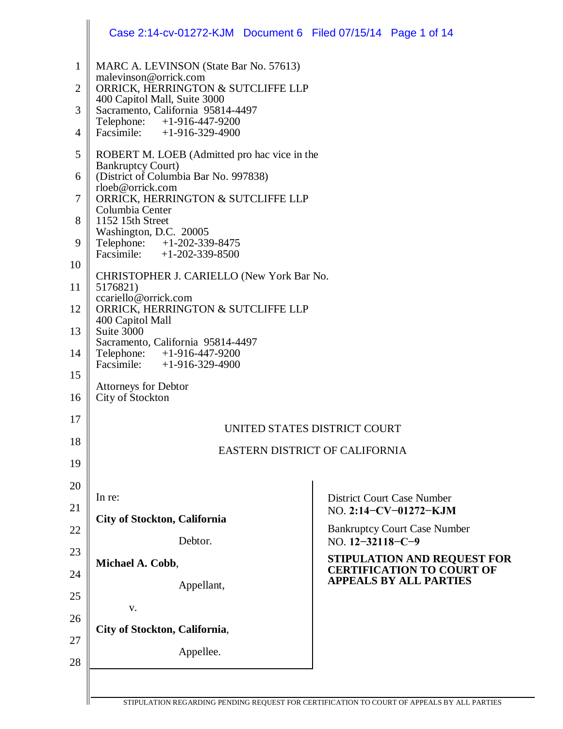| Case 2:14-cv-01272-KJM  Document 6  Filed 07/15/14  Page 1 of 14                              |                                                                 |  |  |
|-----------------------------------------------------------------------------------------------|-----------------------------------------------------------------|--|--|
| MARC A. LEVINSON (State Bar No. 57613)                                                        |                                                                 |  |  |
| malevinson@orrick.com<br>ORRICK, HERRINGTON & SUTCLIFFE LLP                                   |                                                                 |  |  |
| 400 Capitol Mall, Suite 3000<br>Sacramento, California 95814-4497                             |                                                                 |  |  |
| Telephone: +1-916-447-9200<br>Facsimile: $+1-916-329-4900$                                    |                                                                 |  |  |
| ROBERT M. LOEB (Admitted pro hac vice in the<br><b>Bankruptcy Court)</b>                      |                                                                 |  |  |
| (District of Columbia Bar No. 997838)                                                         |                                                                 |  |  |
| rloeb@orrick.com<br>ORRICK, HERRINGTON & SUTCLIFFE LLP<br>Columbia Center                     |                                                                 |  |  |
| 1152 15th Street                                                                              |                                                                 |  |  |
| Washington, D.C. 20005<br>Telephone: +1-202-339-8475                                          |                                                                 |  |  |
| Facsimile: $+1-202-339-8500$                                                                  |                                                                 |  |  |
| CHRISTOPHER J. CARIELLO (New York Bar No.<br>5176821)                                         |                                                                 |  |  |
| ccariello@orrick.com<br>ORRICK, HERRINGTON & SUTCLIFFE LLP                                    |                                                                 |  |  |
| 400 Capitol Mall<br>Suite 3000                                                                |                                                                 |  |  |
| Sacramento, California 95814-4497<br>Telephone: +1-916-447-9200<br>Facsimile: +1-916-329-4900 |                                                                 |  |  |
| <b>Attorneys for Debtor</b>                                                                   |                                                                 |  |  |
| City of Stockton                                                                              |                                                                 |  |  |
|                                                                                               | UNITED STATES DISTRICT COURT                                    |  |  |
|                                                                                               | EASTERN DISTRICT OF CALIFORNIA                                  |  |  |
|                                                                                               |                                                                 |  |  |
| In re:                                                                                        | <b>District Court Case Number</b>                               |  |  |
| <b>City of Stockton, California</b>                                                           | NO. 2:14-CV-01272-KJM                                           |  |  |
| Debtor.                                                                                       | <b>Bankruptcy Court Case Number</b><br>NO. 12-32118-C-9         |  |  |
| Michael A. Cobb,                                                                              | STIPULATION AND REQUEST FOR<br><b>CERTIFICATION TO COURT OF</b> |  |  |
| Appellant,                                                                                    | <b>APPEALS BY ALL PARTIES</b>                                   |  |  |
| V.                                                                                            |                                                                 |  |  |
| City of Stockton, California,                                                                 |                                                                 |  |  |
|                                                                                               |                                                                 |  |  |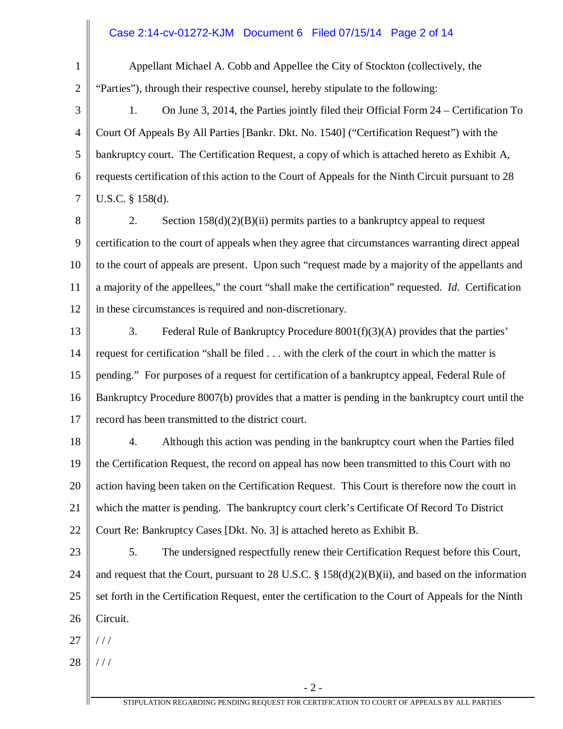#### Case 2:14-cv-01272-KJM Document 6 Filed 07/15/14 Page 2 of 14

2

1

Appellant Michael A. Cobb and Appellee the City of Stockton (collectively, the "Parties"), through their respective counsel, hereby stipulate to the following:

3 4 5 6 7 1. On June 3, 2014, the Parties jointly filed their Official Form 24 – Certification To Court Of Appeals By All Parties [Bankr. Dkt. No. 1540] ("Certification Request") with the bankruptcy court. The Certification Request, a copy of which is attached hereto as Exhibit A, requests certification of this action to the Court of Appeals for the Ninth Circuit pursuant to 28 U.S.C. § 158(d).

8 9 10 11 12 2. Section  $158(d)(2)(B)(ii)$  permits parties to a bankruptcy appeal to request certification to the court of appeals when they agree that circumstances warranting direct appeal to the court of appeals are present. Upon such "request made by a majority of the appellants and a majority of the appellees," the court "shall make the certification" requested. *Id*. Certification in these circumstances is required and non-discretionary.

13 14 15 16 17 3. Federal Rule of Bankruptcy Procedure 8001(f)(3)(A) provides that the parties' request for certification "shall be filed . . . with the clerk of the court in which the matter is pending." For purposes of a request for certification of a bankruptcy appeal, Federal Rule of Bankruptcy Procedure 8007(b) provides that a matter is pending in the bankruptcy court until the record has been transmitted to the district court.

18 19 20 21 22 4. Although this action was pending in the bankruptcy court when the Parties filed the Certification Request, the record on appeal has now been transmitted to this Court with no action having been taken on the Certification Request. This Court is therefore now the court in which the matter is pending. The bankruptcy court clerk's Certificate Of Record To District Court Re: Bankruptcy Cases [Dkt. No. 3] is attached hereto as Exhibit B.

- 23 24 25 26 5. The undersigned respectfully renew their Certification Request before this Court, and request that the Court, pursuant to 28 U.S.C. § 158(d)(2)(B)(ii), and based on the information set forth in the Certification Request, enter the certification to the Court of Appeals for the Ninth Circuit.
- 27 / / /
- 28 / / /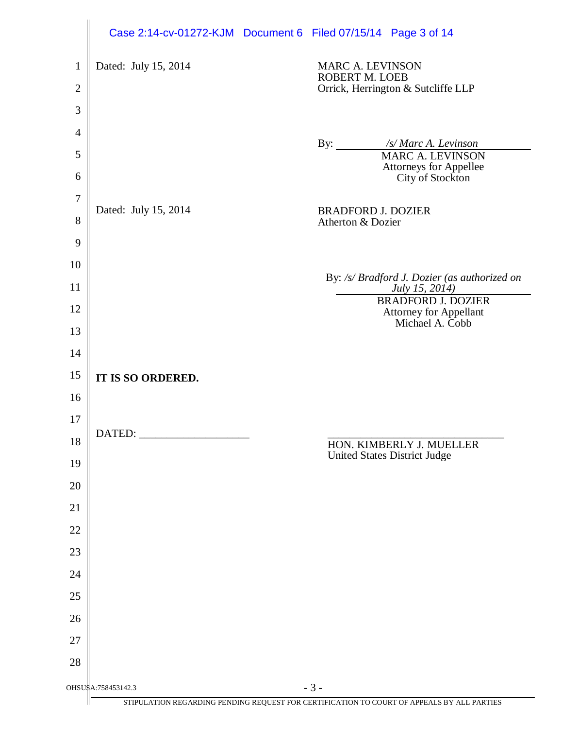|                |                      | Case 2:14-cv-01272-KJM  Document 6  Filed 07/15/14  Page 3 of 14                           |
|----------------|----------------------|--------------------------------------------------------------------------------------------|
| $\mathbf{1}$   | Dated: July 15, 2014 | <b>MARC A. LEVINSON</b>                                                                    |
| $\mathbf{2}$   |                      | ROBERT M. LOEB<br>Orrick, Herrington & Sutcliffe LLP                                       |
| 3              |                      |                                                                                            |
| $\overline{4}$ |                      |                                                                                            |
| 5              |                      | By: /s/ Marc A. Levinson<br><b>MARC A. LEVINSON</b>                                        |
| 6              |                      | Attorneys for Appellee<br>City of Stockton                                                 |
| 7              | Dated: July 15, 2014 | <b>BRADFORD J. DOZIER</b>                                                                  |
| 8              |                      | Atherton & Dozier                                                                          |
| 9              |                      |                                                                                            |
| 10             |                      | By: /s/ Bradford J. Dozier (as authorized on                                               |
| 11             |                      | July 15, 2014)<br><b>BRADFORD J. DOZIER</b>                                                |
| 12             |                      | Attorney for Appellant<br>Michael A. Cobb                                                  |
| 13             |                      |                                                                                            |
| 14             |                      |                                                                                            |
| 15<br>16       | IT IS SO ORDERED.    |                                                                                            |
| 17             |                      |                                                                                            |
| 18             | DATED:               | HON. KIMBERLY J. MUELLER                                                                   |
| 19             |                      | <b>United States District Judge</b>                                                        |
| 20             |                      |                                                                                            |
| 21             |                      |                                                                                            |
| 22             |                      |                                                                                            |
| 23             |                      |                                                                                            |
| 24             |                      |                                                                                            |
| 25             |                      |                                                                                            |
| 26             |                      |                                                                                            |
| 27             |                      |                                                                                            |
| 28             |                      |                                                                                            |
|                | OHSUSA:758453142.3   | $-3-$                                                                                      |
|                |                      | STIPULATION REGARDING PENDING REQUEST FOR CERTIFICATION TO COURT OF APPEALS BY ALL PARTIES |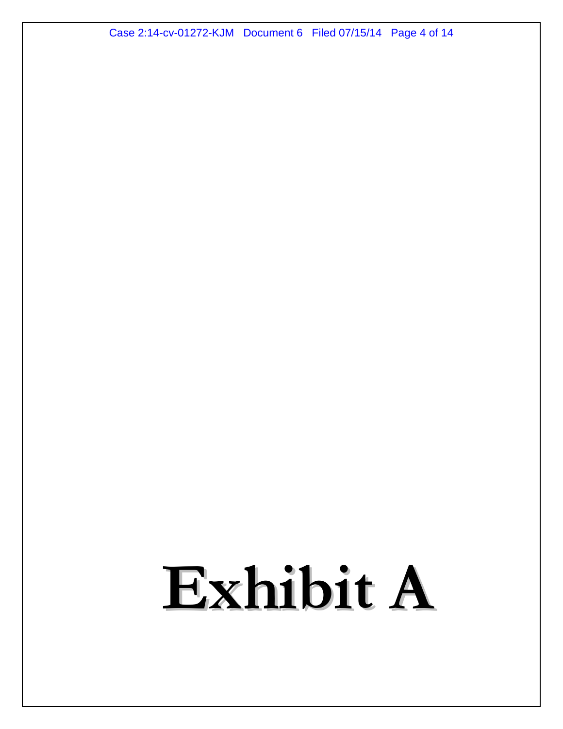Case 2:14-cv-01272-KJM Document 6 Filed 07/15/14 Page 4 of 14

# Exhibit A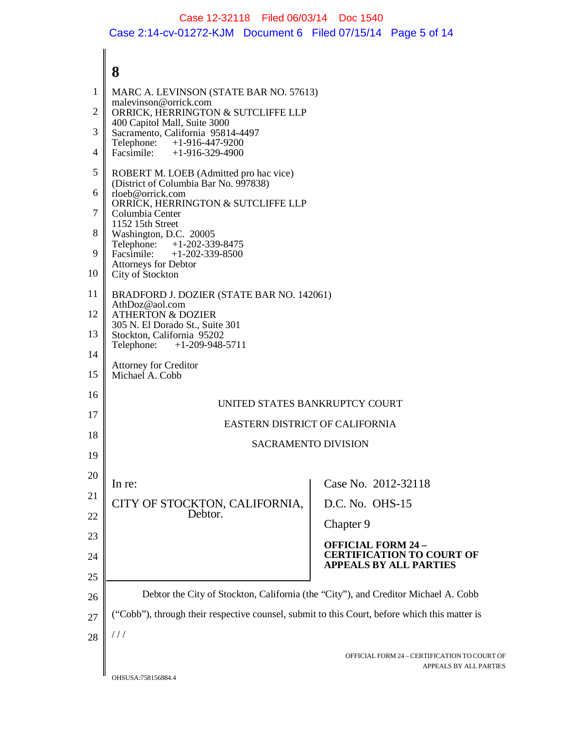### Case 12-32118 Filed 06/03/14 Doc 1540 Case 2:14-cv-01272-KJM Document 6 Filed 07/15/14 Page 5 of 14

#### **8** OFFICIAL FORM 24 – CERTIFICATION TO COURT OF APPEALS BY ALL PARTIES 1 2 3 4 5 6 7 8 9 10 11 12 13 14 15 16 17 18 19 20 21 22 23 24 25 26 27 28 MARC A. LEVINSON (STATE BAR NO. 57613) malevinson@orrick.com ORRICK, HERRINGTON & SUTCLIFFE LLP 400 Capitol Mall, Suite 3000 Sacramento, California 95814-4497 Telephone: +1-916-447-9200 Facsimile: +1-916-329-4900 ROBERT M. LOEB (Admitted pro hac vice) (District of Columbia Bar No. 997838) rloeb@orrick.com ORRICK, HERRINGTON & SUTCLIFFE LLP Columbia Center 1152 15th Street Washington, D.C. 20005<br>Telephone: +1-202-339 Telephone: +1-202-339-8475<br>Facsimile: +1-202-339-8500  $+1-202-339-8500$ Attorneys for Debtor City of Stockton BRADFORD J. DOZIER (STATE BAR NO. 142061) AthDoz@aol.com ATHERTON & DOZIER 305 N. El Dorado St., Suite 301 Stockton, California 95202<br>Telephone: +1-209-948- $+1-209-948-5711$ Attorney for Creditor Michael A. Cobb UNITED STATES BANKRUPTCY COURT EASTERN DISTRICT OF CALIFORNIA SACRAMENTO DIVISION In re: CITY OF STOCKTON, CALIFORNIA, Debtor. Case No. 2012-32118 D.C. No. OHS-15 Chapter 9 **OFFICIAL FORM 24 – CERTIFICATION TO COURT OF APPEALS BY ALL PARTIES** Debtor the City of Stockton, California (the "City"), and Creditor Michael A. Cobb ("Cobb"), through their respective counsel, submit to this Court, before which this matter is / / /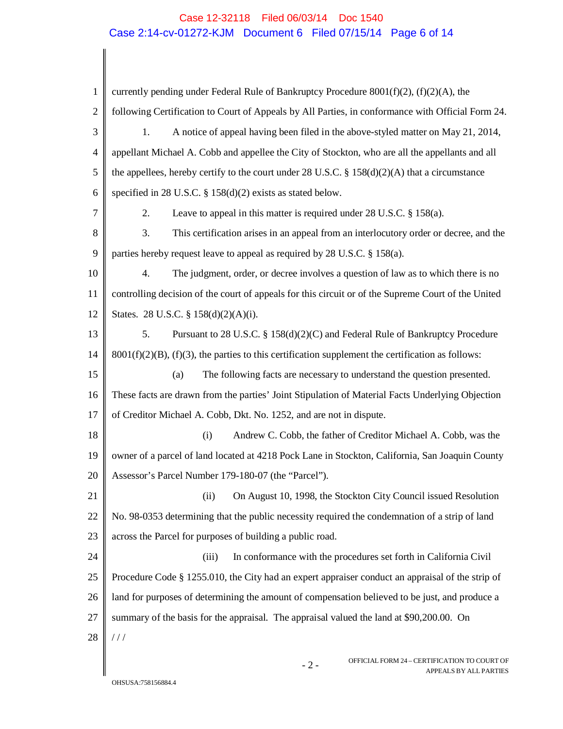### Case 12-32118 Filed 06/03/14 Doc 1540 Case 2:14-cv-01272-KJM Document 6 Filed 07/15/14 Page 6 of 14

| 1              | currently pending under Federal Rule of Bankruptcy Procedure $8001(f)(2)$ , $(f)(2)(A)$ , the        |  |  |
|----------------|------------------------------------------------------------------------------------------------------|--|--|
| $\overline{2}$ | following Certification to Court of Appeals by All Parties, in conformance with Official Form 24.    |  |  |
| 3              | A notice of appeal having been filed in the above-styled matter on May 21, 2014,<br>1.               |  |  |
| 4              | appellant Michael A. Cobb and appellee the City of Stockton, who are all the appellants and all      |  |  |
| 5              | the appellees, hereby certify to the court under 28 U.S.C. § 158(d)(2)(A) that a circumstance        |  |  |
| 6              | specified in 28 U.S.C. $\S$ 158(d)(2) exists as stated below.                                        |  |  |
| 7              | Leave to appeal in this matter is required under $28$ U.S.C. $\S$ 158(a).<br>2.                      |  |  |
| 8              | This certification arises in an appeal from an interlocutory order or decree, and the<br>3.          |  |  |
| 9              | parties hereby request leave to appeal as required by 28 U.S.C. § 158(a).                            |  |  |
| 10             | The judgment, order, or decree involves a question of law as to which there is no<br>4.              |  |  |
| 11             | controlling decision of the court of appeals for this circuit or of the Supreme Court of the United  |  |  |
| 12             | States. 28 U.S.C. § 158(d)(2)(A)(i).                                                                 |  |  |
| 13             | Pursuant to 28 U.S.C. § 158(d)(2)(C) and Federal Rule of Bankruptcy Procedure<br>5.                  |  |  |
| 14             | $8001(f)(2)(B)$ , (f)(3), the parties to this certification supplement the certification as follows: |  |  |
| 15             | The following facts are necessary to understand the question presented.<br>(a)                       |  |  |
| 16             | These facts are drawn from the parties' Joint Stipulation of Material Facts Underlying Objection     |  |  |
| 17             | of Creditor Michael A. Cobb, Dkt. No. 1252, and are not in dispute.                                  |  |  |
| 18             | (i)<br>Andrew C. Cobb, the father of Creditor Michael A. Cobb, was the                               |  |  |
| 19             | owner of a parcel of land located at 4218 Pock Lane in Stockton, California, San Joaquin County      |  |  |
| 20             | Assessor's Parcel Number 179-180-07 (the "Parcel").                                                  |  |  |
| 21             | On August 10, 1998, the Stockton City Council issued Resolution<br>(ii)                              |  |  |
| 22             | No. 98-0353 determining that the public necessity required the condemnation of a strip of land       |  |  |
| 23             | across the Parcel for purposes of building a public road.                                            |  |  |
| 24             | (iii)<br>In conformance with the procedures set forth in California Civil                            |  |  |
| 25             | Procedure Code § 1255.010, the City had an expert appraiser conduct an appraisal of the strip of     |  |  |
| 26             | land for purposes of determining the amount of compensation believed to be just, and produce a       |  |  |
| 27             | summary of the basis for the appraisal. The appraisal valued the land at \$90,200.00. On             |  |  |
| 28             | //                                                                                                   |  |  |

- 2 - OFFICIAL FORM 24 – CERTIFICATION TO COURT OF

APPEALS BY ALL PARTIES

 $\parallel$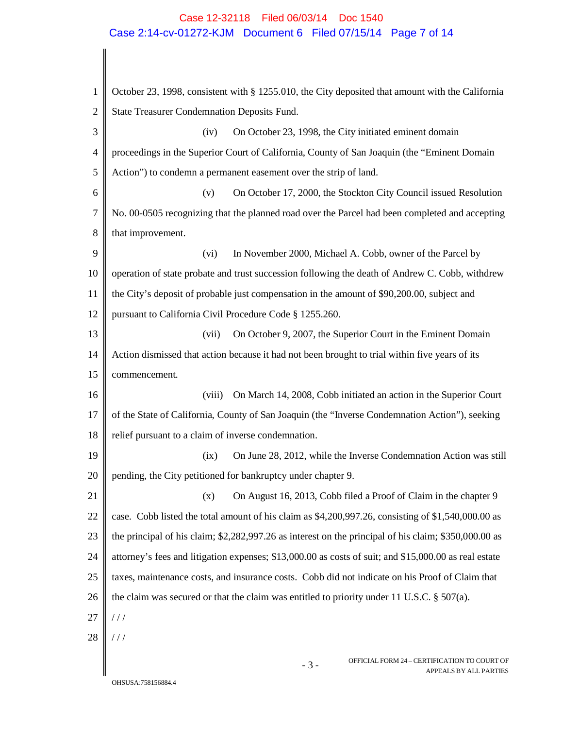## Case 12-32118 Filed 06/03/14 Doc 1540 Case 2:14-cv-01272-KJM Document 6 Filed 07/15/14 Page 7 of 14

| 1              | October 23, 1998, consistent with § 1255.010, the City deposited that amount with the California        |  |  |
|----------------|---------------------------------------------------------------------------------------------------------|--|--|
| $\mathfrak{2}$ | State Treasurer Condemnation Deposits Fund.                                                             |  |  |
| 3              | On October 23, 1998, the City initiated eminent domain<br>(iv)                                          |  |  |
| 4              | proceedings in the Superior Court of California, County of San Joaquin (the "Eminent Domain             |  |  |
| 5              | Action") to condemn a permanent easement over the strip of land.                                        |  |  |
| 6              | On October 17, 2000, the Stockton City Council issued Resolution<br>(v)                                 |  |  |
| $\tau$         | No. 00-0505 recognizing that the planned road over the Parcel had been completed and accepting          |  |  |
| 8              | that improvement.                                                                                       |  |  |
| 9              | In November 2000, Michael A. Cobb, owner of the Parcel by<br>(vi)                                       |  |  |
| 10             | operation of state probate and trust succession following the death of Andrew C. Cobb, withdrew         |  |  |
| 11             | the City's deposit of probable just compensation in the amount of \$90,200.00, subject and              |  |  |
| 12             | pursuant to California Civil Procedure Code § 1255.260.                                                 |  |  |
| 13             | On October 9, 2007, the Superior Court in the Eminent Domain<br>(vii)                                   |  |  |
| 14             | Action dismissed that action because it had not been brought to trial within five years of its          |  |  |
| 15             | commencement.                                                                                           |  |  |
| 16             | On March 14, 2008, Cobb initiated an action in the Superior Court<br>(viii)                             |  |  |
| 17             | of the State of California, County of San Joaquin (the "Inverse Condemnation Action"), seeking          |  |  |
| 18             | relief pursuant to a claim of inverse condemnation.                                                     |  |  |
| 19             | On June 28, 2012, while the Inverse Condemnation Action was still<br>(ix)                               |  |  |
| 20             | pending, the City petitioned for bankruptcy under chapter 9.                                            |  |  |
| 21             | On August 16, 2013, Cobb filed a Proof of Claim in the chapter 9<br>(x)                                 |  |  |
| 22             | case. Cobb listed the total amount of his claim as \$4,200,997.26, consisting of \$1,540,000.00 as      |  |  |
| 23             | the principal of his claim; $$2,282,997.26$ as interest on the principal of his claim; $$350,000.00$ as |  |  |
| 24             | attorney's fees and litigation expenses; \$13,000.00 as costs of suit; and \$15,000.00 as real estate   |  |  |
| 25             | taxes, maintenance costs, and insurance costs. Cobb did not indicate on his Proof of Claim that         |  |  |
| 26             | the claim was secured or that the claim was entitled to priority under 11 U.S.C. $\S$ 507(a).           |  |  |
| 27             | //                                                                                                      |  |  |
| 28             | ///                                                                                                     |  |  |
|                | OFFICIAL FORM 24 – CERTIFICATION TO COURT OF<br>$-3-$<br>APPEALS BY ALL PARTIES                         |  |  |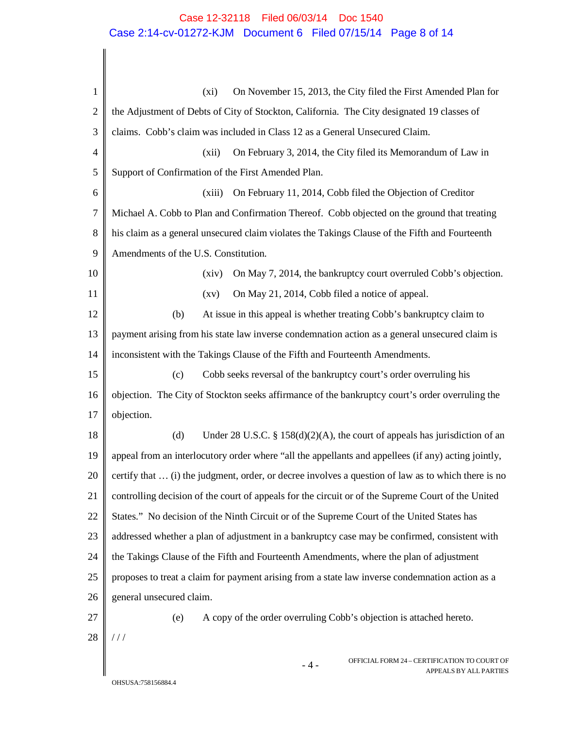## Case 12-32118 Filed 06/03/14 Doc 1540 Case 2:14-cv-01272-KJM Document 6 Filed 07/15/14 Page 8 of 14

| $\mathbf{1}$   | On November 15, 2013, the City filed the First Amended Plan for<br>$(x_i)$                          |  |  |  |
|----------------|-----------------------------------------------------------------------------------------------------|--|--|--|
| $\overline{2}$ | the Adjustment of Debts of City of Stockton, California. The City designated 19 classes of          |  |  |  |
| 3              | claims. Cobb's claim was included in Class 12 as a General Unsecured Claim.                         |  |  |  |
| 4              | (xii)<br>On February 3, 2014, the City filed its Memorandum of Law in                               |  |  |  |
| 5              | Support of Confirmation of the First Amended Plan.                                                  |  |  |  |
| 6              | (xiii)<br>On February 11, 2014, Cobb filed the Objection of Creditor                                |  |  |  |
| 7              | Michael A. Cobb to Plan and Confirmation Thereof. Cobb objected on the ground that treating         |  |  |  |
| 8              | his claim as a general unsecured claim violates the Takings Clause of the Fifth and Fourteenth      |  |  |  |
| 9              | Amendments of the U.S. Constitution.                                                                |  |  |  |
| 10             | On May 7, 2014, the bankruptcy court overruled Cobb's objection.<br>(xiv)                           |  |  |  |
| 11             | On May 21, 2014, Cobb filed a notice of appeal.<br>$\left( xy\right)$                               |  |  |  |
| 12             | At issue in this appeal is whether treating Cobb's bankruptcy claim to<br>(b)                       |  |  |  |
| 13             | payment arising from his state law inverse condemnation action as a general unsecured claim is      |  |  |  |
| 14             | inconsistent with the Takings Clause of the Fifth and Fourteenth Amendments.                        |  |  |  |
| 15             | Cobb seeks reversal of the bankruptcy court's order overruling his<br>(c)                           |  |  |  |
| 16             | objection. The City of Stockton seeks affirmance of the bankruptcy court's order overruling the     |  |  |  |
| 17             | objection.                                                                                          |  |  |  |
| 18             | Under 28 U.S.C. § 158(d)(2)(A), the court of appeals has jurisdiction of an<br>(d)                  |  |  |  |
| 19             | appeal from an interlocutory order where "all the appellants and appellees (if any) acting jointly, |  |  |  |
| 20             | certify that  (i) the judgment, order, or decree involves a question of law as to which there is no |  |  |  |
| 21             | controlling decision of the court of appeals for the circuit or of the Supreme Court of the United  |  |  |  |
| 22             | States." No decision of the Ninth Circuit or of the Supreme Court of the United States has          |  |  |  |
| 23             | addressed whether a plan of adjustment in a bankruptcy case may be confirmed, consistent with       |  |  |  |
| 24             | the Takings Clause of the Fifth and Fourteenth Amendments, where the plan of adjustment             |  |  |  |
| 25             | proposes to treat a claim for payment arising from a state law inverse condemnation action as a     |  |  |  |
| 26             | general unsecured claim.                                                                            |  |  |  |
| 27             | A copy of the order overruling Cobb's objection is attached hereto.<br>(e)                          |  |  |  |
| 28             | //                                                                                                  |  |  |  |
|                | OFFICIAL FORM 24 - CERTIFICATION TO COURT OF<br>$-4-$<br>APPEALS BY ALL PARTIES                     |  |  |  |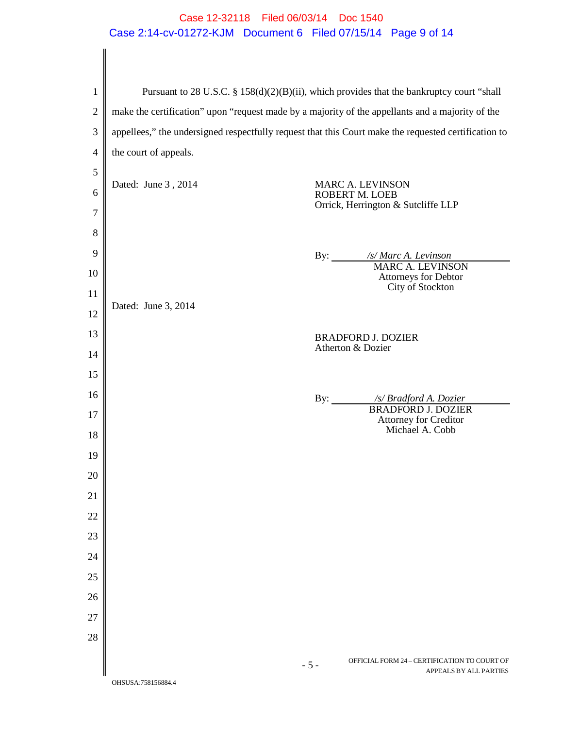## Case 12-32118 Filed 06/03/14 Doc 1540 Case 2:14-cv-01272-KJM Document 6 Filed 07/15/14 Page 9 of 14

| $\mathbf{1}$   | Pursuant to 28 U.S.C. § 158(d)(2)(B)(ii), which provides that the bankruptcy court "shall            |  |  |  |
|----------------|------------------------------------------------------------------------------------------------------|--|--|--|
| $\overline{2}$ | make the certification" upon "request made by a majority of the appellants and a majority of the     |  |  |  |
| 3              | appellees," the undersigned respectfully request that this Court make the requested certification to |  |  |  |
| $\overline{4}$ | the court of appeals.                                                                                |  |  |  |
| 5              |                                                                                                      |  |  |  |
| 6              | Dated: June 3, 2014<br><b>MARC A. LEVINSON</b><br><b>ROBERT M. LOEB</b>                              |  |  |  |
| 7              | Orrick, Herrington & Sutcliffe LLP                                                                   |  |  |  |
| $8\,$          |                                                                                                      |  |  |  |
| 9              | By: /s/ Marc A. Levinson                                                                             |  |  |  |
| 10             | <b>MARC A. LEVINSON</b><br><b>Attorneys for Debtor</b>                                               |  |  |  |
| 11             | City of Stockton<br>Dated: June 3, 2014                                                              |  |  |  |
| 12             |                                                                                                      |  |  |  |
| 13             | <b>BRADFORD J. DOZIER</b><br>Atherton & Dozier                                                       |  |  |  |
| 14             |                                                                                                      |  |  |  |
| 15             |                                                                                                      |  |  |  |
| 16             | By: /s/ Bradford A. Dozier<br><b>BRADFORD J. DOZIER</b>                                              |  |  |  |
| 17             | Attorney for Creditor<br>Michael A. Cobb                                                             |  |  |  |
| 18             |                                                                                                      |  |  |  |
| 19             |                                                                                                      |  |  |  |
| 20             |                                                                                                      |  |  |  |
| 21             |                                                                                                      |  |  |  |
| 22             |                                                                                                      |  |  |  |
| 23             |                                                                                                      |  |  |  |
| 24             |                                                                                                      |  |  |  |
| 25             |                                                                                                      |  |  |  |
| 26             |                                                                                                      |  |  |  |
| 27<br>28       |                                                                                                      |  |  |  |
|                |                                                                                                      |  |  |  |
|                | OFFICIAL FORM 24 - CERTIFICATION TO COURT OF<br>$-5-$<br>APPEALS BY ALL PARTIES                      |  |  |  |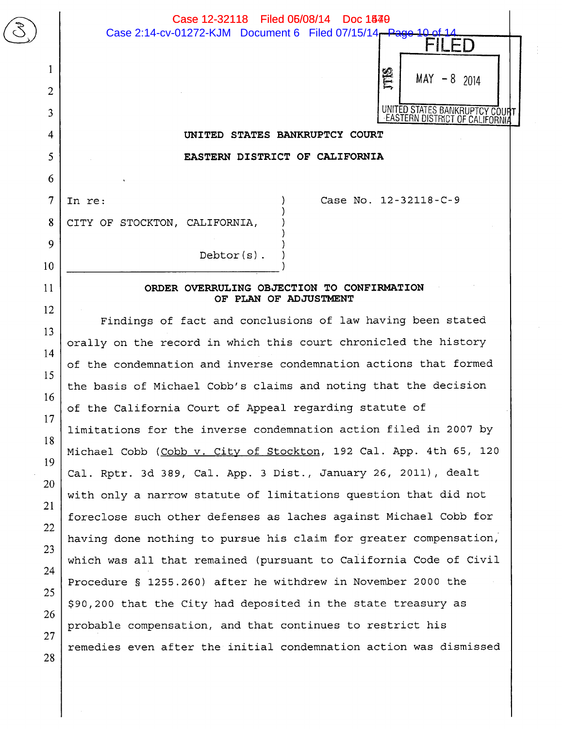|                | Case 12-32118 Filed 06/08/14 Doc 1540<br>Case 2:14-cv-01272-KJM Document 6 Filed 07/15/14 - Page 10 |
|----------------|-----------------------------------------------------------------------------------------------------|
|                | -1)                                                                                                 |
| 1              | ĮB                                                                                                  |
| $\overline{2}$ | $MAY - 8$ 2014                                                                                      |
| $\overline{3}$ | UNITED STATES BANKRUPTCY COUR<br>EASTERN DISTRICT OF CALIFORNI                                      |
| $\overline{4}$ | UNITED STATES BANKRUPTCY COURT                                                                      |
| 5              | EASTERN DISTRICT OF CALIFORNIA                                                                      |
| 6              |                                                                                                     |
| $\overline{7}$ | Case No. 12-32118-C-9<br>In re:                                                                     |
| 8              | CITY OF STOCKTON, CALIFORNIA,                                                                       |
| 9              |                                                                                                     |
| 10             | $Debtor(s)$ .                                                                                       |
| 11             | ORDER OVERRULING OBJECTION TO CONFIRMATION                                                          |
| 12             | OF PLAN OF ADJUSTMENT                                                                               |
| 13             | Findings of fact and conclusions of law having been stated                                          |
| 14             | orally on the record in which this court chronicled the history                                     |
| 15             | of the condemnation and inverse condemnation actions that formed                                    |
| 16             | the basis of Michael Cobb's claims and noting that the decision                                     |
| 17             | of the California Court of Appeal regarding statute of                                              |
| 18             | limitations for the inverse condemnation action filed in 2007 by                                    |
| 19             | Michael Cobb (Cobb v. City of Stockton, 192 Cal. App. 4th 65, 120                                   |
| 20             | Cal. Rptr. 3d 389, Cal. App. 3 Dist., January 26, 2011), dealt                                      |
| 21             | with only a narrow statute of limitations question that did not                                     |
| 22             | foreclose such other defenses as laches against Michael Cobb for                                    |
| 23             | having done nothing to pursue his claim for greater compensation,                                   |
| 24             | which was all that remained (pursuant to California Code of Civil                                   |
| 25             | Procedure § 1255.260) after he withdrew in November 2000 the                                        |
| 26             | \$90,200 that the City had deposited in the state treasury as                                       |
| 27             | probable compensation, and that continues to restrict his                                           |
| 28             | remedies even after the initial condemnation action was dismissed                                   |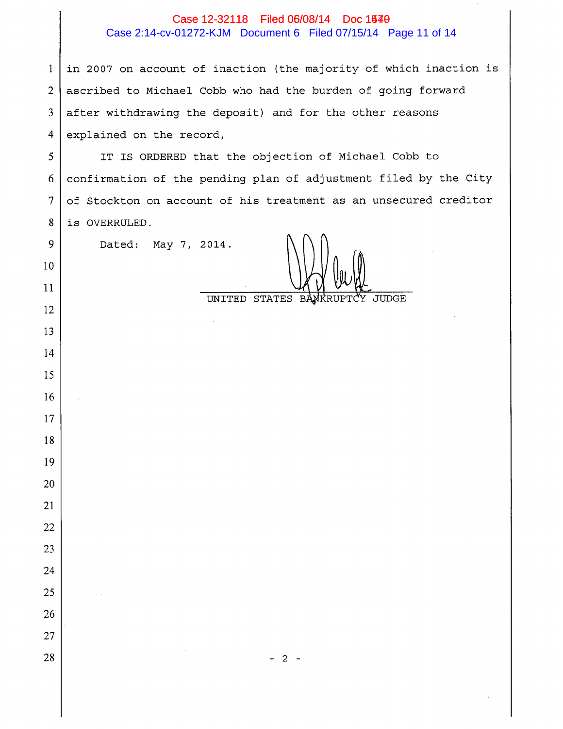### Case 12-32118 Filed 06/08/14 Doc 1540

#### Case 2:14-cv-01272-KJM Document 6 Filed 07/15/14 Page 11 of 14

in 2007 on account of inaction (the majority of which inaction is  $\mathbf{1}$  $\overline{2}$ ascribed to Michael Cobb who had the burden of going forward after withdrawing the deposit) and for the other reasons  $\overline{3}$  $\overline{4}$ explained on the record,

IT IS ORDERED that the objection of Michael Cobb to  $5<sup>5</sup>$ confirmation of the pending plan of adjustment filed by the City 6  $\overline{7}$ of Stockton on account of his treatment as an unsecured creditor  $\bf 8$ is OVERRULED.

Dated: May 7, 2014.

9

 $10<sup>°</sup>$ 

11

12

13

14

15

16

17

18

19

20

21

22

23

24

25

26

27

28

UNITED STATES BANKRUPT **JUDGE**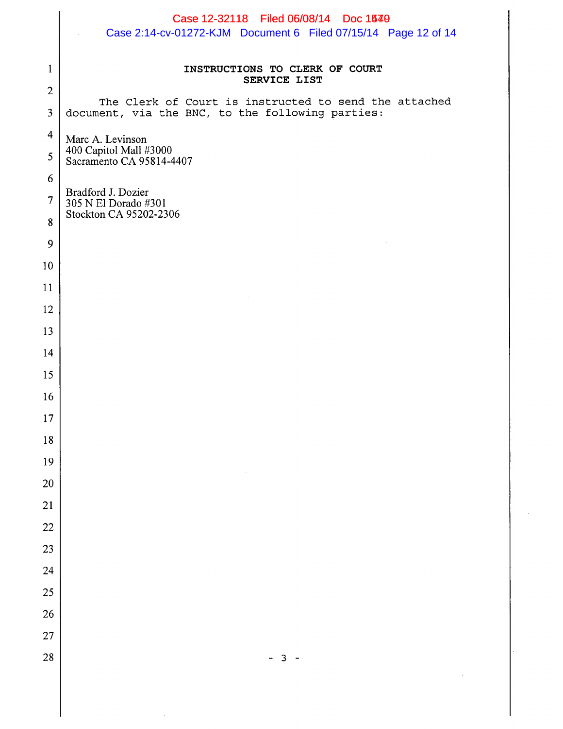|                     | Case 12-32118 Filed 06/08/14 Doc 1540<br>Case 2:14-cv-01272-KJM Document 6 Filed 07/15/14 Page 12 of 14 |  |  |
|---------------------|---------------------------------------------------------------------------------------------------------|--|--|
| $\mathbf{1}$        | INSTRUCTIONS TO CLERK OF COURT<br>SERVICE LIST                                                          |  |  |
| $\overline{2}$      | The Clerk of Court is instructed to send the attached                                                   |  |  |
| 3                   | document, via the BNC, to the following parties:                                                        |  |  |
| $\overline{4}$<br>5 | Marc A. Levinson<br>400 Capitol Mall #3000<br>Sacramento CA 95814-4407                                  |  |  |
| 6                   |                                                                                                         |  |  |
| $\overline{7}$      | Bradford J. Dozier<br>305 N El Dorado #301                                                              |  |  |
| 8                   | Stockton CA 95202-2306                                                                                  |  |  |
| 9                   |                                                                                                         |  |  |
| 10                  |                                                                                                         |  |  |
| 11                  |                                                                                                         |  |  |
| 12                  |                                                                                                         |  |  |
| 13                  |                                                                                                         |  |  |
| 14                  |                                                                                                         |  |  |
| 15                  |                                                                                                         |  |  |
| 16<br>17            |                                                                                                         |  |  |
| $18\,$              |                                                                                                         |  |  |
| 19                  |                                                                                                         |  |  |
| $20\,$              |                                                                                                         |  |  |
| 21                  |                                                                                                         |  |  |
| $22\,$              |                                                                                                         |  |  |
| 23                  |                                                                                                         |  |  |
| 24                  |                                                                                                         |  |  |
| 25                  |                                                                                                         |  |  |
| 26                  |                                                                                                         |  |  |
| 27                  |                                                                                                         |  |  |
| 28                  | 3                                                                                                       |  |  |
|                     |                                                                                                         |  |  |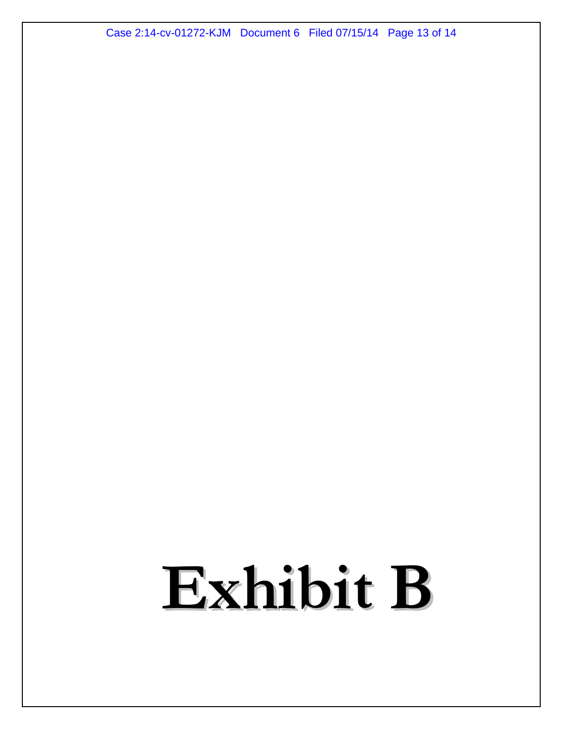Case 2:14-cv-01272-KJM Document 6 Filed 07/15/14 Page 13 of 14

# Exhibit B